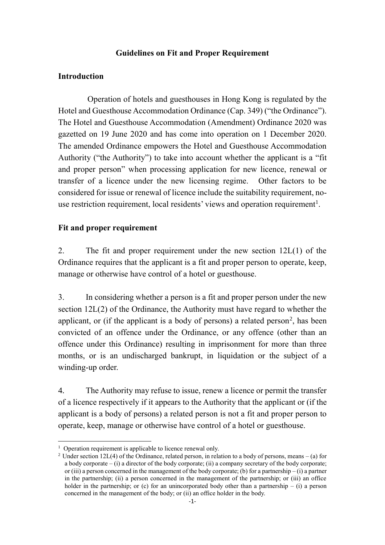### **Guidelines on Fit and Proper Requirement**

### **Introduction**

Operation of hotels and guesthouses in Hong Kong is regulated by the Hotel and Guesthouse Accommodation Ordinance (Cap. 349) ("the Ordinance"). The Hotel and Guesthouse Accommodation (Amendment) Ordinance 2020 was gazetted on 19 June 2020 and has come into operation on 1 December 2020. The amended Ordinance empowers the Hotel and Guesthouse Accommodation Authority ("the Authority") to take into account whether the applicant is a "fit and proper person" when processing application for new licence, renewal or transfer of a licence under the new licensing regime. Other factors to be considered for issue or renewal of licence include the suitability requirement, nouse restriction requirement, local residents' views and operation requirement<sup>1</sup>.

### **Fit and proper requirement**

2. The fit and proper requirement under the new section 12L(1) of the Ordinance requires that the applicant is a fit and proper person to operate, keep, manage or otherwise have control of a hotel or guesthouse.

3. In considering whether a person is a fit and proper person under the new section 12L(2) of the Ordinance, the Authority must have regard to whether the applicant, or (if the applicant is a body of persons) a related person<sup>2</sup>, has been convicted of an offence under the Ordinance, or any offence (other than an offence under this Ordinance) resulting in imprisonment for more than three months, or is an undischarged bankrupt, in liquidation or the subject of a winding-up order.

4. The Authority may refuse to issue, renew a licence or permit the transfer of a licence respectively if it appears to the Authority that the applicant or (if the applicant is a body of persons) a related person is not a fit and proper person to operate, keep, manage or otherwise have control of a hotel or guesthouse.

<sup>-</sup><sup>1</sup> Operation requirement is applicable to licence renewal only.

<sup>&</sup>lt;sup>2</sup> Under section 12L(4) of the Ordinance, related person, in relation to a body of persons, means – (a) for a body corporate – (i) a director of the body corporate; (ii) a company secretary of the body corporate; or (iii) a person concerned in the management of the body corporate; (b) for a partnership – (i) a partner in the partnership; (ii) a person concerned in the management of the partnership; or (iii) an office holder in the partnership; or (c) for an unincorporated body other than a partnership – (i) a person concerned in the management of the body; or (ii) an office holder in the body.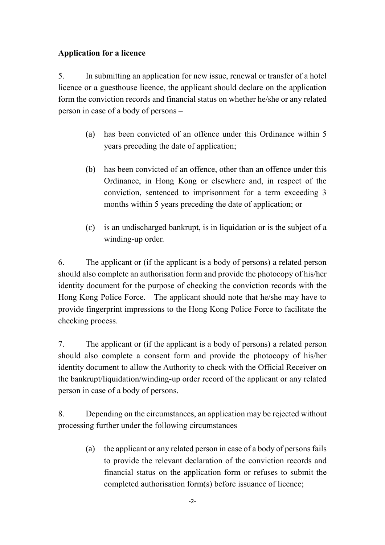# **Application for a licence**

5. In submitting an application for new issue, renewal or transfer of a hotel licence or a guesthouse licence, the applicant should declare on the application form the conviction records and financial status on whether he/she or any related person in case of a body of persons –

- (a) has been convicted of an offence under this Ordinance within 5 years preceding the date of application;
- (b) has been convicted of an offence, other than an offence under this Ordinance, in Hong Kong or elsewhere and, in respect of the conviction, sentenced to imprisonment for a term exceeding 3 months within 5 years preceding the date of application; or
- (c) is an undischarged bankrupt, is in liquidation or is the subject of a winding-up order.

6. The applicant or (if the applicant is a body of persons) a related person should also complete an authorisation form and provide the photocopy of his/her identity document for the purpose of checking the conviction records with the Hong Kong Police Force. The applicant should note that he/she may have to provide fingerprint impressions to the Hong Kong Police Force to facilitate the checking process.

7. The applicant or (if the applicant is a body of persons) a related person should also complete a consent form and provide the photocopy of his/her identity document to allow the Authority to check with the Official Receiver on the bankrupt/liquidation/winding-up order record of the applicant or any related person in case of a body of persons.

8. Depending on the circumstances, an application may be rejected without processing further under the following circumstances –

> (a) the applicant or any related person in case of a body of persons fails to provide the relevant declaration of the conviction records and financial status on the application form or refuses to submit the completed authorisation form(s) before issuance of licence;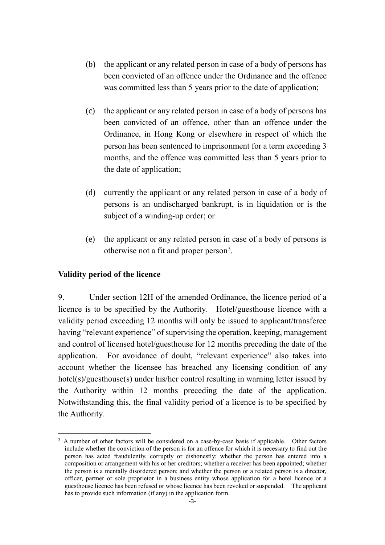- (b) the applicant or any related person in case of a body of persons has been convicted of an offence under the Ordinance and the offence was committed less than 5 years prior to the date of application;
- (c) the applicant or any related person in case of a body of persons has been convicted of an offence, other than an offence under the Ordinance, in Hong Kong or elsewhere in respect of which the person has been sentenced to imprisonment for a term exceeding 3 months, and the offence was committed less than 5 years prior to the date of application;
- (d) currently the applicant or any related person in case of a body of persons is an undischarged bankrupt, is in liquidation or is the subject of a winding-up order; or
- (e) the applicant or any related person in case of a body of persons is otherwise not a fit and proper person<sup>3</sup>.

## **Validity period of the licence**

9. Under section 12H of the amended Ordinance, the licence period of a licence is to be specified by the Authority. Hotel/guesthouse licence with a validity period exceeding 12 months will only be issued to applicant/transferee having "relevant experience" of supervising the operation, keeping, management and control of licensed hotel/guesthouse for 12 months preceding the date of the application. For avoidance of doubt, "relevant experience" also takes into account whether the licensee has breached any licensing condition of any hotel(s)/guesthouse(s) under his/her control resulting in warning letter issued by the Authority within 12 months preceding the date of the application. Notwithstanding this, the final validity period of a licence is to be specified by the Authority.

<sup>-</sup><sup>3</sup> A number of other factors will be considered on a case-by-case basis if applicable. Other factors include whether the conviction of the person is for an offence for which it is necessary to find out the person has acted fraudulently, corruptly or dishonestly; whether the person has entered into a composition or arrangement with his or her creditors; whether a receiver has been appointed; whether the person is a mentally disordered person; and whether the person or a related person is a director, officer, partner or sole proprietor in a business entity whose application for a hotel licence or a guesthouse licence has been refused or whose licence has been revoked or suspended. The applicant has to provide such information (if any) in the application form.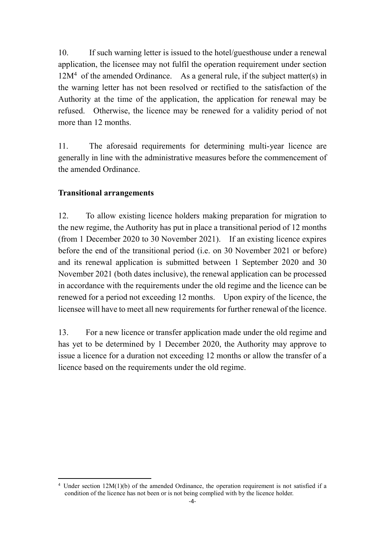10. If such warning letter is issued to the hotel/guesthouse under a renewal application, the licensee may not fulfil the operation requirement under section  $12M<sup>4</sup>$  of the amended Ordinance. As a general rule, if the subject matter(s) in the warning letter has not been resolved or rectified to the satisfaction of the Authority at the time of the application, the application for renewal may be refused. Otherwise, the licence may be renewed for a validity period of not more than 12 months.

11. The aforesaid requirements for determining multi-year licence are generally in line with the administrative measures before the commencement of the amended Ordinance.

## **Transitional arrangements**

-

12. To allow existing licence holders making preparation for migration to the new regime, the Authority has put in place a transitional period of 12 months (from 1 December 2020 to 30 November 2021). If an existing licence expires before the end of the transitional period (i.e. on 30 November 2021 or before) and its renewal application is submitted between 1 September 2020 and 30 November 2021 (both dates inclusive), the renewal application can be processed in accordance with the requirements under the old regime and the licence can be renewed for a period not exceeding 12 months. Upon expiry of the licence, the licensee will have to meet all new requirements for further renewal of the licence.

13. For a new licence or transfer application made under the old regime and has yet to be determined by 1 December 2020, the Authority may approve to issue a licence for a duration not exceeding 12 months or allow the transfer of a licence based on the requirements under the old regime.

Under section  $12M(1)(b)$  of the amended Ordinance, the operation requirement is not satisfied if a condition of the licence has not been or is not being complied with by the licence holder.